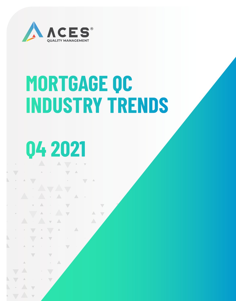

# **MORTGAGE QC INDUSTRY TRENDS**

 $\triangle$ 

# **Q4 2021**

 $\bigwedge$ 

Α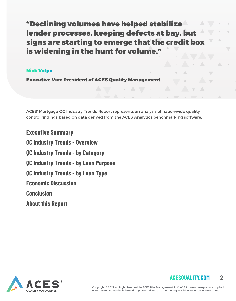"Declining volumes have helped stabilize lender processes, keeping defects at bay, but signs are starting to emerge that the credit box is widening in the hunt for volume."

#### Nick Volpe

Executive Vice President of ACES Quality Management

ACES' Mortgage QC Industry Trends Report represents an analysis of nationwide quality control findings based on data derived from the ACES Analytics benchmarking software.

**Executive Summary QC Industry Trends - Overview QC Industry Trends - by Category QC Industry Trends - by Loan Purpose QC Industry Trends - by Loan Type Economic Discussion Conclusion About this Report**



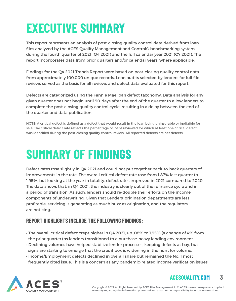## **EXECUTIVE SUMMARY**

This report represents an analysis of post-closing quality control data derived from loan files analyzed by the ACES Quality Management and Control® benchmarking system during the fourth quarter of 2021 (Q4 2021) and the full calendar year 2021 (CY 2021). The report incorporates data from prior quarters and/or calendar years, where applicable.

Findings for the Q4 2021 Trends Report were based on post-closing quality control data from approximately 100,000 unique records. Loan audits selected by lenders for full file reviews served as the basis for all reviews and defect data evaluated for this report.

Defects are categorized using the Fannie Mae loan defect taxonomy. Data analysis for any given quarter does not begin until 90-days after the end of the quarter to allow lenders to complete the post-closing quality control cycle, resulting in a delay between the end of the quarter and data publication.

NOTE: A critical defect is defined as a defect that would result in the loan being uninsurable or ineligible for sale. The critical defect rate reflects the percentage of loans reviewed for which at least one critical defect was identified during the post-closing quality control review. All reported defects are net defects.

## **SUMMARY OF FINDINGS**

Defect rates rose slightly in Q4 2021 and could not put together back-to-back quarters of improvements in the rate. The overall critical defect rate rose from 1.87% last quarter to 1.95%, but looking at the year in totality, defect rates improved in 2021 compared to 2020. The data shows that, in Q4 2021, the industry is clearly out of the refinance cycle and in a period of transition. As such, lenders should re-double their efforts on the income components of underwriting. Given that Lenders' origination departments are less profitable, servicing is generating as much buzz as origination, and the regulators are noticing.

#### **REPORT HIGHLIGHTS INCLUDE THE FOLLOWING FINDINGS:**

- The overall critical defect crept higher in Q4 2021, up .08% to 1.95% (a change of 4% from the prior quarter) as lenders transitioned to a purchase-heavy lending environment.
- Declining volumes have helped stabilize lender processes, keeping defects at bay, but signs are starting to emerge that the credit box is widening in the hunt for volume.
- Income/Employment defects declined in overall share but remained the No. 1 most frequently cited issue. This is a concern as any pandemic-related income verification issues



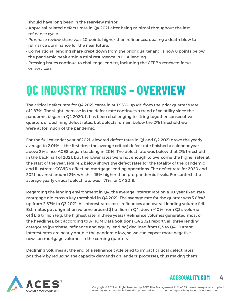should have long been in the rearview mirror.

- Appraisal-related defects rose in Q4 2021 after being minimal throughout the last refinance cycle.
- Purchase review share was 20 points higher than refinances, dealing a death blow to refinance dominance for the near future.
- Conventional lending share crept down from the prior quarter and is now 8 points below the pandemic peak amid a mini resurgence in FHA lending.
- Pressing issues continue to challenge lenders, including the CFPB's renewed focus on servicers.

### **QC INDUSTRY TRENDS – OVERVIEW**

The critical defect rate for Q4 2021 came in at 1.95%, up 4% from the prior quarter's rate of 1.87%. The slight increase in the defect rate continues a trend of volatility since the pandemic began in Q2 2020. It has been challenging to string together consecutive quarters of declining defect rates, but defects remain below the 2% threshold we were at for much of the pandemic.

For the full calendar year of 2021, elevated defect rates in Q1 and Q2 2021 drove the yearly average to 2.01% — the first time the average critical defect rate finished a calendar year above 2% since ACES began tracking in 2016. The defect rate was below that 2% threshold in the back half of 2021, but the lower rates were not enough to overcome the higher rates at the start of the year. Figure 2 below shows the defect rates for the totality of the pandemic and illustrates COVID's effect on mortgage lending operations. The defect rate for 2020 and 2021 hovered around 2%, which is 15% higher than pre-pandemic levels. For context, the average yearly critical defect rate was 1.71% for CY 2019.

Regarding the lending environment in Q4, the average interest rate on a 30-year fixed-rate mortgage did cross a key threshold in Q4 2021. The average rate for the quarter was 3.08% $^{\rm l}$ , up from 2.87% in Q3 2021. As interest rates rose, refinances and overall lending volume fell. Estimates put origination volume around \$1 trillion in Q4, down ~10% from Q3's volume of \$1.16 trillion (e.g. the highest rate in three years). Refinance volumes generated most of the headlines, but according to ATTOM Data Solutions  $Q4$  2021 report<sup>2</sup>, all three lending categories (purchase, refinance and equity lending) declined from Q3 to Q4. Current interest rates are nearly double the pandemic low, so we can expect more negative news on mortgage volumes in the coming quarters.

Declining volumes at the end of a refinance cycle tend to impact critical defect rates positively by reducing the capacity demands on lenders' processes, thus making them



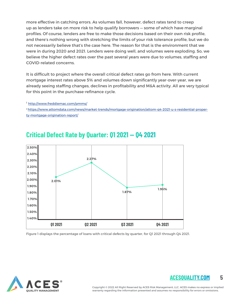more effective in catching errors. As volumes fall, however, defect rates tend to creep up as lenders take on more risk to help qualify borrowers — some of which have marginal profiles. Of course, lenders are free to make those decisions based on their own risk profile, and there's nothing wrong with stretching the limits of your risk tolerance profile, but we do not necessarily believe that's the case here. The reason for that is the environment that we were in during 2020 and 2021. Lenders were doing well, and volumes were exploding. So, we believe the higher defect rates over the past several years were due to volumes, staffing and COVID-related concerns.

It is difficult to project where the overall critical defect rates go from here. With current mortgage interest rates above 5% and volumes down significantly year-over-year, we are already seeing staffing changes, declines in profitability and M&A activity. All are very typical for this point in the purchase-refinance cycle.

<sup>1</sup> http://www.freddiemac.com/pmms/

2 https://www.attomdata.com/news/market-trends/mortgage-origination/attom-q4-2021-u-s-residential-property-mortgage-origination-report/



#### **Critical Defect Rate by Quarter: Q1 2021 — Q4 2021**

Figure 1 displays the percentage of loans with critical defects by quarter, for Q1 2021 through Q4 2021.

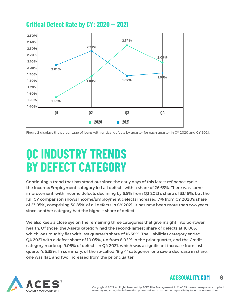#### **Critical Defect Rate by CY: 2020 — 2021**



Figure 2 displays the percentage of loans with critical defects by quarter for each quarter in CY 2020 and CY 2021.

### **QC INDUSTRY TRENDS BY DEFECT CATEGORY**

Continuing a trend that has stood out since the early days of this latest refinance cycle, the Income/Employment category led all defects with a share of 26.63%. There was some improvement, with Income defects declining by 6.5% from Q3 2021's share of 33.16%, but the full CY comparison shows Income/Employment defects increased 7% from CY 2020's share of 23.95%, comprising 30.85% of all defects in CY 2021. It has now been more than two years since another category had the highest share of defects.

We also keep a close eye on the remaining three categories that give insight into borrower health. Of those, the Assets category had the second-largest share of defects at 16.08%, which was roughly flat with last quarter's share of 16.58%. The Liabilities category ended Q4 2021 with a defect share of 10.05%, up from 8.02% in the prior quarter, and the Credit category made up 9.05% of defects in Q4 2021, which was a significant increase from last quarter's 5.35%. In summary, of the so-called "Big 4" categories, one saw a decrease in share, one was flat, and two increased from the prior quarter.



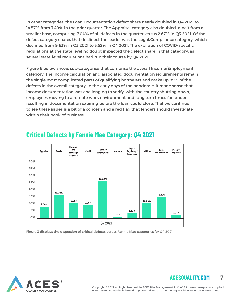In other categories, the Loan Documentation defect share nearly doubled in Q4 2021 to 14.57% from 7.49% in the prior quarter. The Appraisal category also doubled, albeit from a smaller base, comprising 7.04% of all defects in the quarter versus 2.67% in Q3 2021. Of the defect category shares that declined, the leader was the Legal/Compliance category, which declined from 9.63% in Q3 2021 to 3.52% in Q4 2021. The expiration of COVID-specific regulations at the state level no doubt impacted the defect share in that category, as several state-level regulations had run their course by Q4 2021.

Figure 6 below shows sub-categories that comprise the overall Income/Employment category. The income calculation and associated documentation requirements remain the single most complicated parts of qualifying borrowers and make up 85% of the defects in the overall category. In the early days of the pandemic, it made sense that income documentation was challenging to verify, with the country shutting down, employees moving to a remote work environment and long turn times for lenders resulting in documentation expiring before the loan could close. That we continue to see these issues is a bit of a concern and a red flag that lenders should investigate within their book of business.



### **Critical Defects by Fannie Mae Category: Q4 2021**

Figure 3 displays the dispersion of critical defects across Fannie Mae categories for Q4 2021.



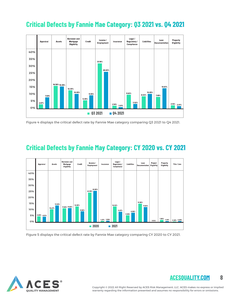#### **Critical Defects by Fannie Mae Category: Q3 2021 vs. Q4 2021**



Figure 4 displays the critical defect rate by Fannie Mae category comparing Q3 2021 to Q4 2021.

#### **Critical Defects by Fannie May Category: CY 2020 vs. CY 2021**



Figure 5 displays the critical defect rate by Fannie Mae category comparing CY 2020 to CY 2021.

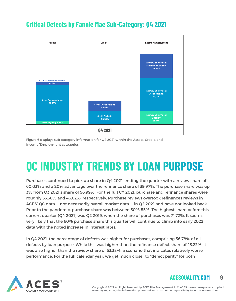### **Critical Defects by Fannie Mae Sub-Category: Q4 2021**



Figure 6 displays sub-category information for Q4 2021 within the Assets, Credit, and Income/Employment categories.

## **QC INDUSTRY TRENDS BY LOAN PURPOSE**

Purchases continued to pick up share in Q4 2021, ending the quarter with a review share of 60.03% and a 20% advantage over the refinance share of 39.97%. The purchase share was up 3% from Q3 2021's share of 56.99%. For the full CY 2021, purchase and refinance shares were roughly 53.38% and 46.62%, respectively. Purchase reviews overtook refinances reviews in ACES' QC data -- not necessarily overall market data -- in Q2 2021 and have not looked back. Prior to the pandemic, purchase share was between 50%-55%. The highest share before this current quarter (Q4 2021) was Q2 2019, when the share of purchases was 71.72%. It seems very likely that the 60% purchase share this quarter will continue to climb into early 2022 data with the noted increase in interest rates.

In Q4 2021, the percentage of defects was higher for purchases, comprising 56.78% of all defects by loan purpose. While this was higher than the refinance defect share of 43.22%, it was also higher than the review share of 53.38%, a scenario that indicates relatively worse performance. For the full calendar year, we get much closer to "defect parity" for both



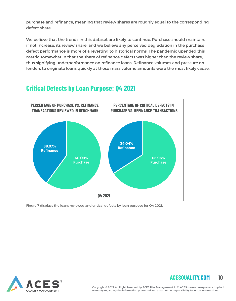purchase and refinance, meaning that review shares are roughly equal to the corresponding defect share.

We believe that the trends in this dataset are likely to continue. Purchase should maintain, if not increase, its review share, and we believe any perceived degradation in the purchase defect performance is more of a reverting to historical norms. The pandemic upended this metric somewhat in that the share of refinance defects was higher than the review share, thus signifying underperformance on refinance loans. Refinance volumes and pressure on lenders to originate loans quickly at those mass volume amounts were the most likely cause.

#### **Critical Defects by Loan Purpose: Q4 2021**



Figure 7 displays the loans reviewed and critical defects by loan purpose for Q4 2021.



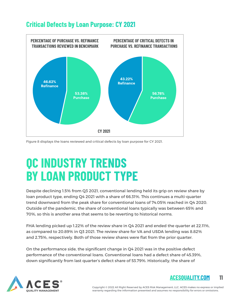

#### **Critical Defects by Loan Purpose: CY 2021**

Figure 8 displays the loans reviewed and critical defects by loan purpose for CY 2021.

**CY 2021** 

### **QC INDUSTRY TRENDS BY LOAN PRODUCT TYPE**

Despite declining 1.5% from Q3 2021, conventional lending held its grip on review share by loan product type, ending Q4 2021 with a share of 66.31%. This continues a multi-quarter trend downward from the peak share for conventional loans of 74.05% reached in Q4 2020. Outside of the pandemic, the share of conventional loans typically was between 65% and 70%, so this is another area that seems to be reverting to historical norms.

FHA lending picked up 1.22% of the review share in Q4 2021 and ended the quarter at 22.11%, as compared to 20.89% in Q3 2021. The review share for VA and USDA lending was 8.82% and 2.75%, respectively. Both of those review shares were flat from the prior quarter.

On the performance side, the significant change in Q4 2021 was in the positive defect performance of the conventional loans. Conventional loans had a defect share of 45.39%, down significantly from last quarter's defect share of 53.79%. Historically, the share of



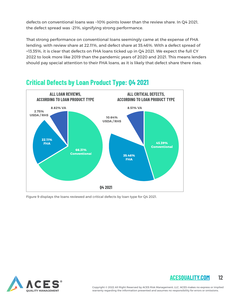defects on conventional loans was ~10% points lower than the review share. In Q4 2021, the defect spread was -21%, signifying strong performance.

That strong performance on conventional loans seemingly came at the expense of FHA lending, with review share at 22.11%, and defect share at 35.46%. With a defect spread of +13.35%, it is clear that defects on FHA loans ticked up in Q4 2021. We expect the full CY 2022 to look more like 2019 than the pandemic years of 2020 and 2021. This means lenders should pay special attention to their FHA loans, as it is likely that defect share there rises.



#### **Critical Defects by Loan Product Type: Q4 2021**

Figure 9 displays the loans reviewed and critical defects by loan type for Q4 2021.



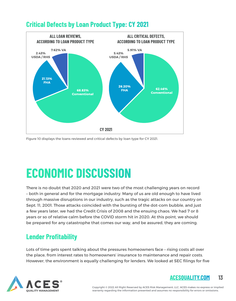

#### **Critical Defects by Loan Product Type: CY 2021**

Figure 10 displays the loans reviewed and critical defects by loan type for CY 2021.

## **ECONOMIC DISCUSSION**

There is no doubt that 2020 and 2021 were two of the most challenging years on record – both in general and for the mortgage industry. Many of us are old enough to have lived through massive disruptions in our industry, such as the tragic attacks on our country on Sept. 11, 2001. Those attacks coincided with the bursting of the dot-com bubble, and just a few years later, we had the Credit Crisis of 2008 and the ensuing chaos. We had 7 or 8 years or so of relative calm before the COVID storm hit in 2020. At this point, we should be prepared for any catastrophe that comes our way, and be assured, they are coming.

### **Lender Profitability**

Lots of time gets spent talking about the pressures homeowners face – rising costs all over the place, from interest rates to homeowners' insurance to maintenance and repair costs. However, the environment is equally challenging for lenders. We looked at SEC filings for five

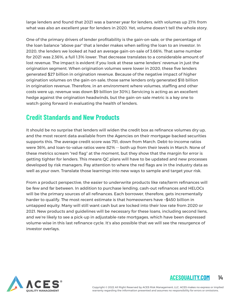large lenders and found that 2021 was a banner year for lenders, with volumes up 21% from what was also an excellent year for lenders in 2020. Yet, volume doesn't tell the whole story.

One of the primary drivers of lender profitability is the gain-on-sale, or the percentage of the loan balance "above par" that a lender makes when selling the loan to an investor. In 2020, the lenders we looked at had an average gain-on-sale of 3.66%. That same number for 2021 was 2.36%, a full 1.3% lower. That decrease translates to a considerable amount of lost revenue. The impact is evident if you look at these same lenders' revenue in just the origination segment. When origination volumes were lower in 2020, these five lenders generated \$27 billion in origination revenue. Because of the negative impact of higher origination volumes on the gain-on-sale, those same lenders only generated \$18 billion in origination revenue. Therefore, in an environment where volumes, staffing and other costs were up, revenue was down \$9 billion (or 30%). Servicing is acting as an excellent hedge against the origination headwinds, but the gain-on-sale metric is a key one to watch going forward in evaluating the health of lenders.

#### **Credit Standards and New Products**

It should be no surprise that lenders will widen the credit box as refinance volumes dry up, and the most recent data available from the Agencies on their mortgage-backed securities supports this. The average credit score was 751, down from March. Debt-to-income ratios were 36%, and loan-to-value ratios were 82% -- both up from their levels in March. None of these metrics scream "red flag" at the moment, but they show that the margin for error is getting tighter for lenders. This means QC plans will have to be updated and new processes developed by risk managers. Pay attention to where the red flags are in the industry data as well as your own. Translate those learnings into new ways to sample and target your risk.

From a product perspective, the easier to underwrite products like rate/term refinances will be few and far between. In addition to purchase lending, cash-out refinances and HELOCs will be the primary sources of all refinances. Each borrower, therefore, gets incrementally harder to qualify. The most recent estimate is that homeowners have ~\$450 billion in untapped equity. Many will still want cash but are locked into their low rate from 2020 or 2021. New products and guidelines will be necessary for these loans, including second liens, and we're likely to see a pick-up in adjustable-rate mortgages, which have been depressed volume-wise in this last refinance cycle. It's also possible that we will see the resurgence of investor overlays.





Copyright © 2022 All Right Reserved by ACES Risk Management, LLC. ACES makes no express or implied warranty regarding the information presented and assumes no responsibility for errors or omissions.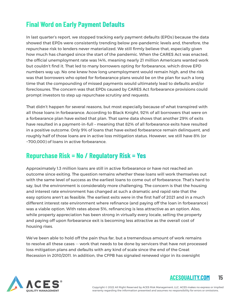### **Final Word on Early Payment Defaults**

In last quarter's report, we stopped tracking early payment defaults (EPDs) because the data showed that EPDs were consistently trending below pre-pandemic levels and, therefore, the repurchase risk to lenders never materialized. We still firmly believe that, especially given how much has changed since the start of the pandemic. When the CARES Act was enacted, the official unemployment rate was 14%, meaning nearly 21 million Americans wanted work but couldn't find it. That led to many borrowers opting for forbearance, which drove EPD numbers way up. No one knew how long unemployment would remain high, and the risk was that borrowers who opted for forbearance plans would be on the plan for such a long time that the compounding of missed payments would ultimately lead to defaults and/or foreclosures. The concern was that EPDs caused by CARES Act forbearance provisions could prompt investors to step up repurchase scrutiny and requests.

That didn't happen for several reasons, but most especially because of what transpired with all those loans in forbearance. According to Black Knight, 92% of all borrowers that were on a forbearance plan have exited that plan. That same data shows that another 29% of exits have resulted in a payment-in-full – meaning that 82% of all forbearance exits have resulted in a positive outcome. Only 9% of loans that have exited forbearance remain delinquent, and roughly half of those loans are in active loss mitigation status. However, we still have 8% (or ~700,000) of loans in active forbearance.

#### **Repurchase Risk = No / Regulatory Risk = Yes**

Approximately 1.3 million loans are still in active forbearance or have not reached an outcome since exiting. The question remains whether these loans will work themselves out with the same level of success as the earliest loans to come out of forbearance. That's hard to say, but the environment is considerably more challenging. The concern is that the housing and interest rate environment has changed at such a dramatic and rapid rate that the easy options aren't as feasible. The earliest exits were in the first half of 2021 and in a much different interest rate environment where refinance (and paying off the loan in forbearance) was a viable option. With rates above 5%, refinancing is less attractive as an option. Also, while property appreciation has been strong in virtually every locale, selling the property and paying off upon forbearance exit is becoming less attractive as the overall cost of housing rises.

We've been able to hold off the pain thus far, but a tremendous amount of work remains to resolve all these cases -- work that needs to be done by servicers that have not processed loss mitigation plans and defaults with any kind of scale since the end of the Great Recession in 2010/2011. In addition, the CFPB has signaled renewed vigor in its oversight



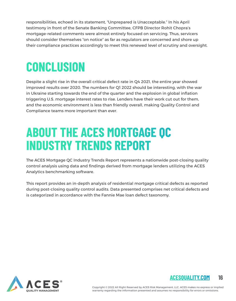responsibilities, echoed in its statement, "Unprepared is Unacceptable." In his April testimony in front of the Senate Banking Committee, CFPB Director Rohit Chopra's mortgage-related comments were almost entirely focused on servicing. Thus, servicers should consider themselves "on notice" as far as regulators are concerned and shore up their compliance practices accordingly to meet this renewed level of scrutiny and oversight.

### **CONCLUSION**

Despite a slight rise in the overall critical defect rate in Q4 2021, the entire year showed improved results over 2020. The numbers for Q1 2022 should be interesting, with the war in Ukraine starting towards the end of the quarter and the explosion in global inflation triggering U.S. mortgage interest rates to rise. Lenders have their work cut out for them, and the economic environment is less than friendly overall, making Quality Control and Compliance teams more important than ever.

### **ABOUT THE ACES MORTGAGE QC INDUSTRY TRENDS REPORT**

The ACES Mortgage QC Industry Trends Report represents a nationwide post-closing quality control analysis using data and findings derived from mortgage lenders utilizing the ACES Analytics benchmarking software.

This report provides an in-depth analysis of residential mortgage critical defects as reported during post-closing quality control audits. Data presented comprises net critical defects and is categorized in accordance with the Fannie Mae loan defect taxonomy.